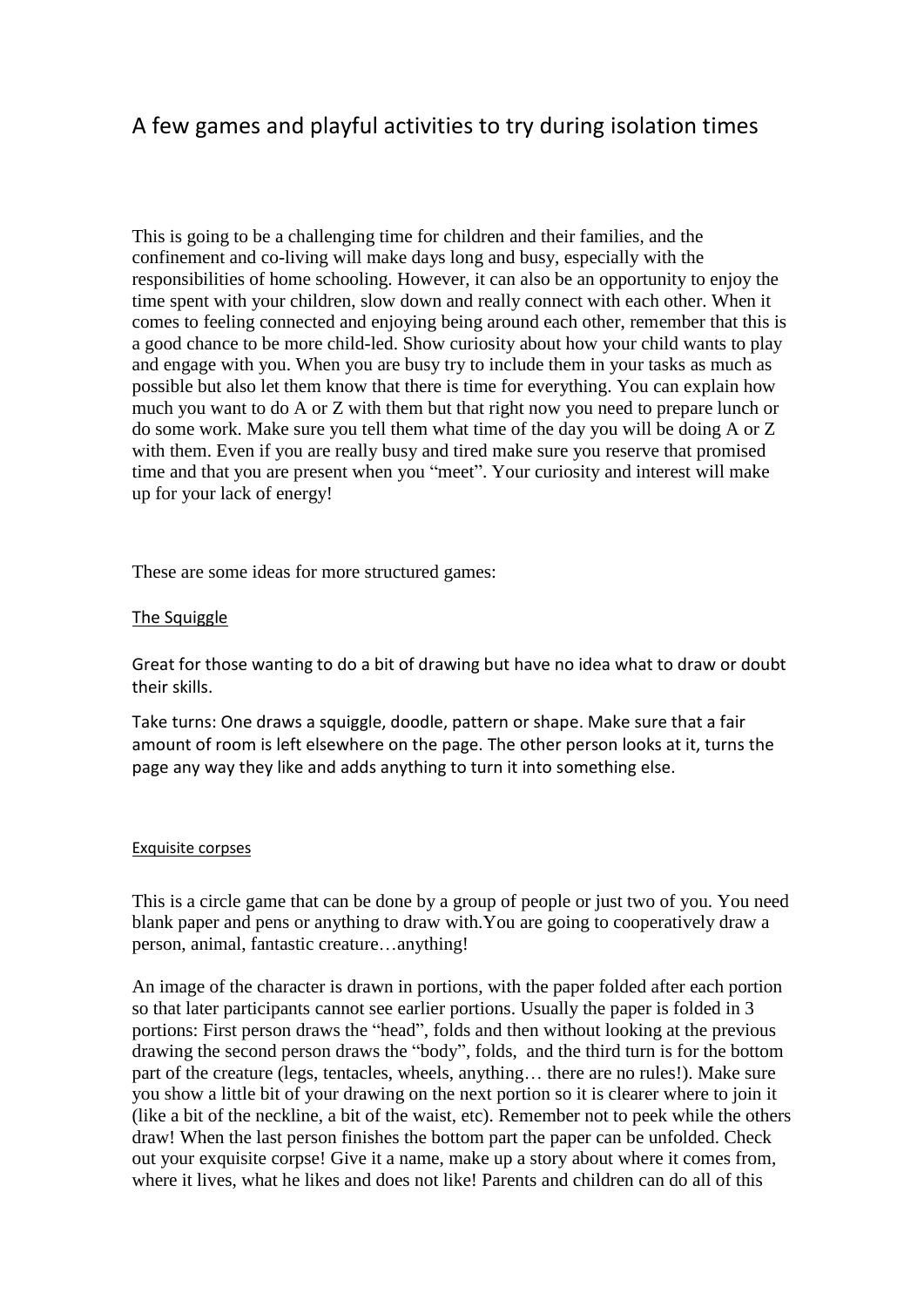# A few games and playful activities to try during isolation times

This is going to be a challenging time for children and their families, and the confinement and co-living will make days long and busy, especially with the responsibilities of home schooling. However, it can also be an opportunity to enjoy the time spent with your children, slow down and really connect with each other. When it comes to feeling connected and enjoying being around each other, remember that this is a good chance to be more child-led. Show curiosity about how your child wants to play and engage with you. When you are busy try to include them in your tasks as much as possible but also let them know that there is time for everything. You can explain how much you want to do A or Z with them but that right now you need to prepare lunch or do some work. Make sure you tell them what time of the day you will be doing A or Z with them. Even if you are really busy and tired make sure you reserve that promised time and that you are present when you "meet". Your curiosity and interest will make up for your lack of energy!

These are some ideas for more structured games:

#### The Squiggle

Great for those wanting to do a bit of drawing but have no idea what to draw or doubt their skills.

Take turns: One draws a squiggle, doodle, pattern or shape. Make sure that a fair amount of room is left elsewhere on the page. The other person looks at it, turns the page any way they like and adds anything to turn it into something else.

#### Exquisite corpses

This is a circle game that can be done by a group of people or just two of you. You need blank paper and pens or anything to draw with.You are going to cooperatively draw a person, animal, fantastic creature…anything!

An image of the character is drawn in portions, with the paper folded after each portion so that later participants cannot see earlier portions. Usually the paper is folded in 3 portions: First person draws the "head", folds and then without looking at the previous drawing the second person draws the "body", folds, and the third turn is for the bottom part of the creature (legs, tentacles, wheels, anything… there are no rules!). Make sure you show a little bit of your drawing on the next portion so it is clearer where to join it (like a bit of the neckline, a bit of the waist, etc). Remember not to peek while the others draw! When the last person finishes the bottom part the paper can be unfolded. Check out your exquisite corpse! Give it a name, make up a story about where it comes from, where it lives, what he likes and does not like! Parents and children can do all of this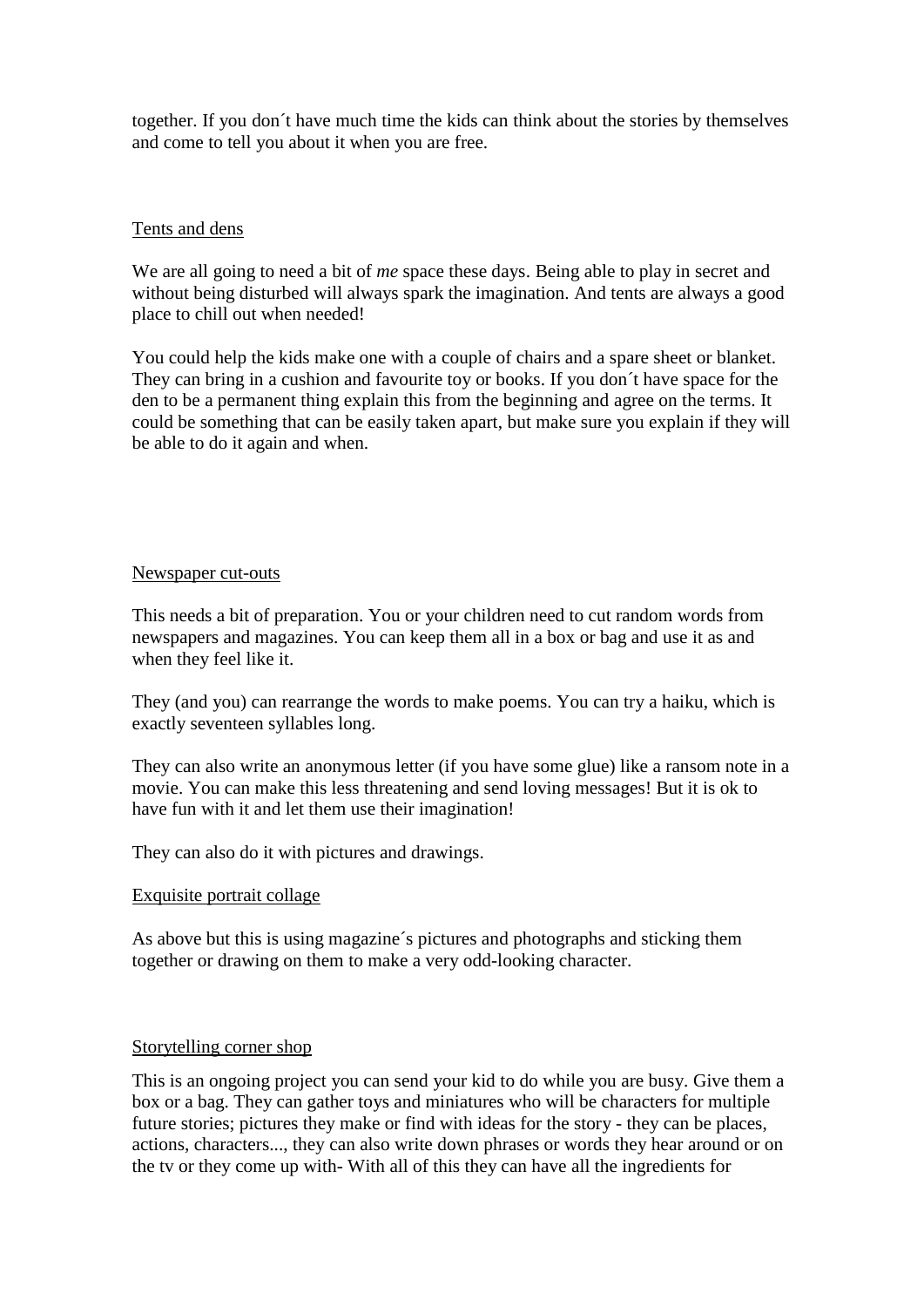together. If you don´t have much time the kids can think about the stories by themselves and come to tell you about it when you are free.

#### Tents and dens

We are all going to need a bit of *me* space these days. Being able to play in secret and without being disturbed will always spark the imagination. And tents are always a good place to chill out when needed!

You could help the kids make one with a couple of chairs and a spare sheet or blanket. They can bring in a cushion and favourite toy or books. If you don´t have space for the den to be a permanent thing explain this from the beginning and agree on the terms. It could be something that can be easily taken apart, but make sure you explain if they will be able to do it again and when.

#### Newspaper cut-outs

This needs a bit of preparation. You or your children need to cut random words from newspapers and magazines. You can keep them all in a box or bag and use it as and when they feel like it.

They (and you) can rearrange the words to make poems. You can try a haiku, which is exactly seventeen syllables long.

They can also write an anonymous letter (if you have some glue) like a ransom note in a movie. You can make this less threatening and send loving messages! But it is ok to have fun with it and let them use their imagination!

They can also do it with pictures and drawings.

# Exquisite portrait collage

As above but this is using magazine´s pictures and photographs and sticking them together or drawing on them to make a very odd-looking character.

#### Storytelling corner shop

This is an ongoing project you can send your kid to do while you are busy. Give them a box or a bag. They can gather toys and miniatures who will be characters for multiple future stories; pictures they make or find with ideas for the story - they can be places, actions, characters..., they can also write down phrases or words they hear around or on the tv or they come up with- With all of this they can have all the ingredients for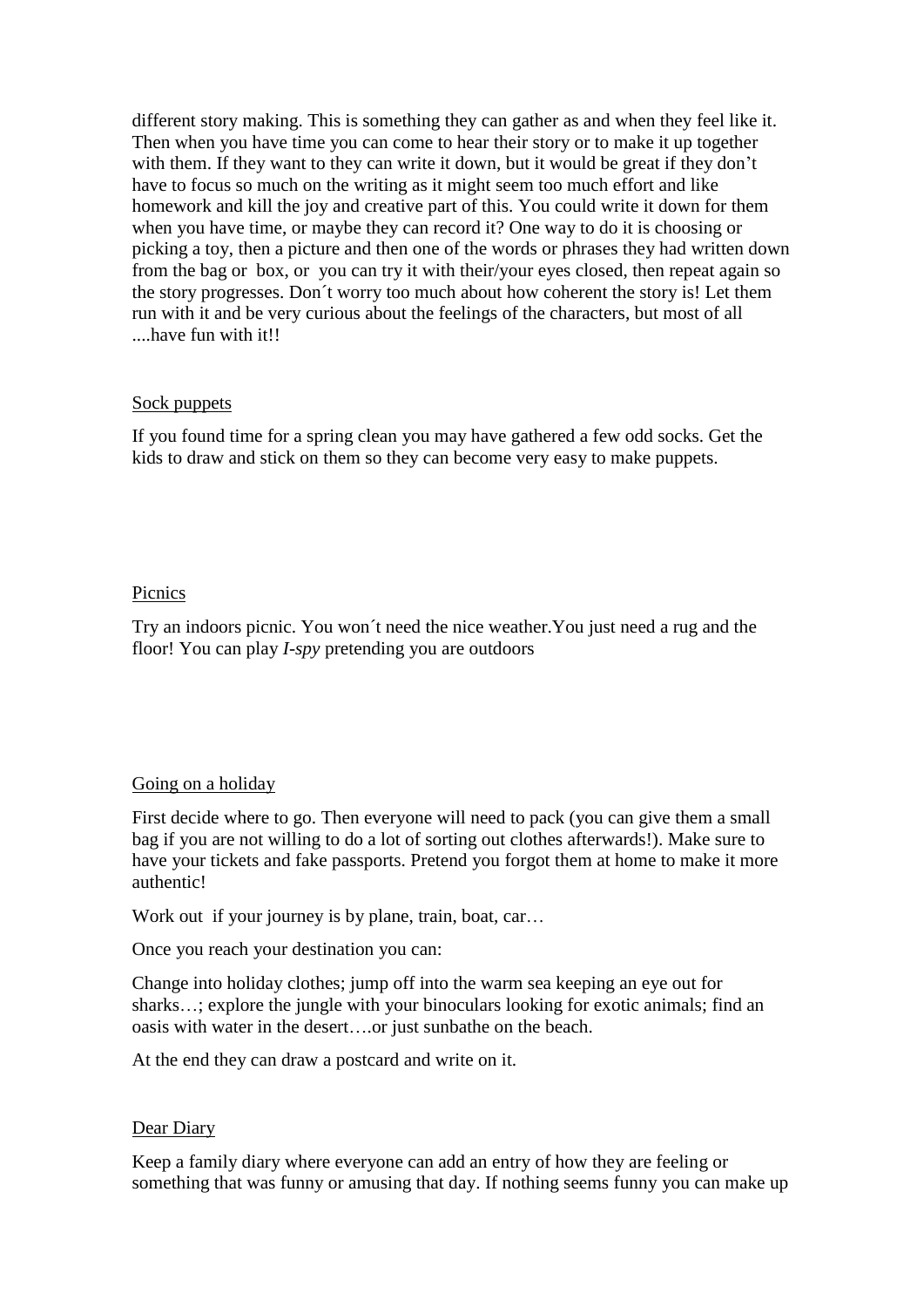different story making. This is something they can gather as and when they feel like it. Then when you have time you can come to hear their story or to make it up together with them. If they want to they can write it down, but it would be great if they don't have to focus so much on the writing as it might seem too much effort and like homework and kill the joy and creative part of this. You could write it down for them when you have time, or maybe they can record it? One way to do it is choosing or picking a toy, then a picture and then one of the words or phrases they had written down from the bag or box, or you can try it with their/your eyes closed, then repeat again so the story progresses. Don´t worry too much about how coherent the story is! Let them run with it and be very curious about the feelings of the characters, but most of all ....have fun with it!!

#### Sock puppets

If you found time for a spring clean you may have gathered a few odd socks. Get the kids to draw and stick on them so they can become very easy to make puppets.

## Picnics

Try an indoors picnic. You won´t need the nice weather.You just need a rug and the floor! You can play *I-spy* pretending you are outdoors

# Going on a holiday

First decide where to go. Then everyone will need to pack (you can give them a small bag if you are not willing to do a lot of sorting out clothes afterwards!). Make sure to have your tickets and fake passports. Pretend you forgot them at home to make it more authentic!

Work out if your journey is by plane, train, boat, car...

Once you reach your destination you can:

Change into holiday clothes; jump off into the warm sea keeping an eye out for sharks…; explore the jungle with your binoculars looking for exotic animals; find an oasis with water in the desert….or just sunbathe on the beach.

At the end they can draw a postcard and write on it.

#### Dear Diary

Keep a family diary where everyone can add an entry of how they are feeling or something that was funny or amusing that day. If nothing seems funny you can make up